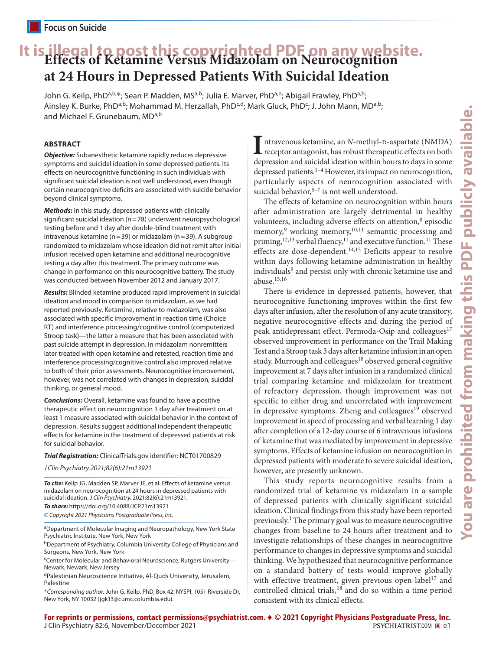# **It is illegal to post this copyrighted PDF on any website. Effects of Ketamine Versus Midazolam on Neurocognition at 24 Hours in Depressed Patients With Suicidal Ideation**

John G. Keilp, PhD<sup>a,b,\*</sup>; Sean P. Madden, MS<sup>a,b</sup>; Julia E. Marver, PhD<sup>a,b</sup>; Abigail Frawley, PhD<sup>a,b</sup>; Ainsley K. Burke, PhD<sup>a,b</sup>; Mohammad M. Herzallah, PhD<sup>c,d</sup>; Mark Gluck, PhD<sup>c</sup>; J. John Mann, MD<sup>a,b</sup>; and Michael F. Grunebaum, MDa,b

# **ABSTRACT**

*Objective:* Subanesthetic ketamine rapidly reduces depressive symptoms and suicidal ideation in some depressed patients. Its effects on neurocognitive functioning in such individuals with significant suicidal ideation is not well understood, even though certain neurocognitive deficits are associated with suicide behavior beyond clinical symptoms.

*Methods:* In this study, depressed patients with clinically significant suicidal ideation (n=78) underwent neuropsychological testing before and 1 day after double-blind treatment with intravenous ketamine ( $n=39$ ) or midazolam ( $n=39$ ). A subgroup randomized to midazolam whose ideation did not remit after initial infusion received open ketamine and additional neurocognitive testing a day after this treatment. The primary outcome was change in performance on this neurocognitive battery. The study was conducted between November 2012 and January 2017.

*Results:* Blinded ketamine produced rapid improvement in suicidal ideation and mood in comparison to midazolam, as we had reported previously. Ketamine, relative to midazolam, was also associated with specific improvement in reaction time (Choice RT) and interference processing/cognitive control (computerized Stroop task)—the latter a measure that has been associated with past suicide attempt in depression. In midazolam nonremitters later treated with open ketamine and retested, reaction time and interference processing/cognitive control also improved relative to both of their prior assessments. Neurocognitive improvement, however, was not correlated with changes in depression, suicidal thinking, or general mood.

*Conclusions:* Overall, ketamine was found to have a positive therapeutic effect on neurocognition 1 day after treatment on at least 1 measure associated with suicidal behavior in the context of depression. Results suggest additional independent therapeutic effects for ketamine in the treatment of depressed patients at risk for suicidal behavior.

*Trial Registration:* ClinicalTrials.gov identifier: [NCT01700829](https://clinicaltrials.gov/ct2/show/NCT01700829)

*J Clin Psychiatry 2021;82(6):21m13921*

*To cite:* Keilp JG, Madden SP, Marver JE, et al. Effects of ketamine versus midazolam on neurocognition at 24 hours in depressed patients with suicidal ideation. *J Clin Psychiatry.* 2021;82(6):21m13921.

*To share:* https://doi.org/10.4088/JCP.21m13921 *© Copyright 2021 Physicians Postgraduate Press, Inc.*

<sup>a</sup>Department of Molecular Imaging and Neuropathology, New York State Psychiatric Institute, New York, New York

bDepartment of Psychiatry, Columbia University College of Physicians and Surgeons, New York, New York

<sup>c</sup>Center for Molecular and Behavioral Neuroscience, Rutgers University-Newark, Newark, New Jersey

dPalestinian Neuroscience Initiative, Al-Quds University, Jerusalem, Palestine

\**Corresponding author:* John G. Keilp, PhD, Box 42, NYSPI, 1051 Riverside Dr, New York, NY 10032 ([jgk13@cumc.columbia.edu](mailto:jgk13@cumc.columbia.edu)).

ntravenous ketamine, an *N*-methyl-p-aspartate (NMDA) receptor antagonist, has robust therapeutic effects on both depression and suicidal ideation within hours to days in some depressed patients.<sup>1-4</sup> However, its impact on neurocognition, particularly aspects of neurocognition associated with suicidal behavior, $5-7$  is not well understood.

The effects of ketamine on neurocognition within hours after administration are largely detrimental in healthy volunteers, including adverse effects on attention,<sup>8</sup> episodic memory,<sup>9</sup> working memory,<sup>10,11</sup> semantic processing and priming,<sup>12,13</sup> verbal fluency,<sup>11</sup> and executive function.<sup>11</sup> These effects are dose-dependent.<sup>14,15</sup> Deficits appear to resolve within days following ketamine administration in healthy individuals<sup>9</sup> and persist only with chronic ketamine use and abuse.15,16

There is evidence in depressed patients, however, that neurocognitive functioning improves within the first few days after infusion, after the resolution of any acute transitory, negative neurocognitive effects and during the period of peak antidepressant effect. Permoda-Osip and colleagues<sup>17</sup> observed improvement in performance on the Trail Making Test and a Stroop task 3 days after ketamine infusion in an open study. Murrough and colleagues<sup>18</sup> observed general cognitive improvement at 7 days after infusion in a randomized clinical trial comparing ketamine and midazolam for treatment of refractory depression, though improvement was not specific to either drug and uncorrelated with improvement in depressive symptoms. Zheng and colleagues<sup>19</sup> observed improvement in speed of processing and verbal learning 1 day after completion of a 12-day course of 6 intravenous infusions of ketamine that was mediated by improvement in depressive symptoms. Effects of ketamine infusion on neurocognition in depressed patients with moderate to severe suicidal ideation, however, are presently unknown.

This study reports neurocognitive results from a randomized trial of ketamine vs midazolam in a sample of depressed patients with clinically significant suicidal ideation. Clinical findings from this study have been reported previously.<sup>1</sup> The primary goal was to measure neurocognitive changes from baseline to 24 hours after treatment and to investigate relationships of these changes in neurocognitive performance to changes in depressive symptoms and suicidal thinking. We hypothesized that neurocognitive performance on a standard battery of tests would improve globally with effective treatment, given previous open-label<sup>17</sup> and controlled clinical trials,<sup>18</sup> and do so within a time period consistent with its clinical effects.

**For reprints or permissions, contact permissions@psychiatrist.com.** ♦ **© 2021 Copyright Physicians Postgraduate Press, Inc.** J Clin Psychiatry 82:6, November/December 2021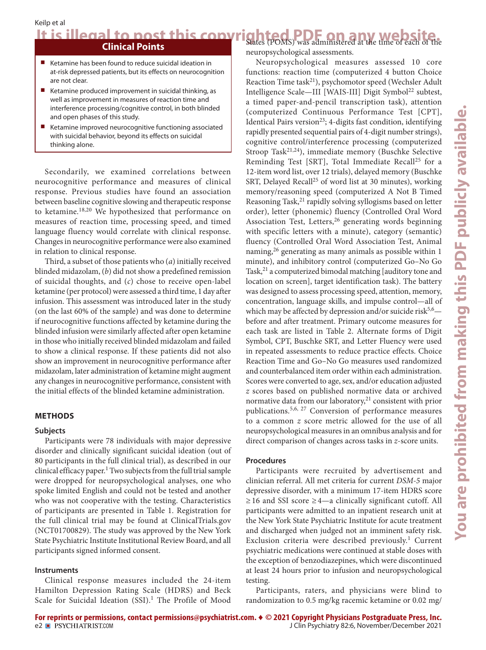# It is illegal to post this copyrighted PDF on any website.

# **Clinical Points**

- Ketamine has been found to reduce suicidal ideation in at-risk depressed patients, but its effects on neurocognition are not clear.
- Ketamine produced improvement in suicidal thinking, as well as improvement in measures of reaction time and interference processing/cognitive control, in both blinded and open phases of this study.
- Ketamine improved neurocognitive functioning associated with suicidal behavior, beyond its effects on suicidal thinking alone.

Secondarily, we examined correlations between neurocognitive performance and measures of clinical response. Previous studies have found an association between baseline cognitive slowing and therapeutic response to ketamine.18,20 We hypothesized that performance on measures of reaction time, processing speed, and timed language fluency would correlate with clinical response. Changes in neurocognitive performance were also examined in relation to clinical response.

Third, a subset of those patients who (*a*) initially received blinded midazolam, (*b*) did not show a predefined remission of suicidal thoughts, and (*c*) chose to receive open-label ketamine (per protocol) were assessed a third time, 1 day after infusion. This assessment was introduced later in the study (on the last 60% of the sample) and was done to determine if neurocognitive functions affected by ketamine during the blinded infusion were similarly affected after open ketamine in those who initially received blinded midazolam and failed to show a clinical response. If these patients did not also show an improvement in neurocognitive performance after midazolam, later administration of ketamine might augment any changes in neurocognitive performance, consistent with the initial effects of the blinded ketamine administration.

#### **METHODS**

#### **Subjects**

Participants were 78 individuals with major depressive disorder and clinically significant suicidal ideation (out of 80 participants in the full clinical trial), as described in our clinical efficacy paper.<sup>1</sup> Two subjects from the full trial sample were dropped for neuropsychological analyses, one who spoke limited English and could not be tested and another who was not cooperative with the testing. Characteristics of participants are presented in Table 1. Registration for the full clinical trial may be found at ClinicalTrials.gov [\(NCT01700829](https://clinicaltrials.gov/ct2/show/NCT01700829)). The study was approved by the New York State Psychiatric Institute Institutional Review Board, and all participants signed informed consent.

#### **Instruments**

Clinical response measures included the 24-item Hamilton Depression Rating Scale (HDRS) and Beck Scale for Suicidal Ideation (SSI).<sup>1</sup> The Profile of Mood neuropsychological assessments.

Neuropsychological measures assessed 10 core functions: reaction time (computerized 4 button Choice Reaction Time task<sup>21</sup>), psychomotor speed (Wechsler Adult Intelligence Scale—III [WAIS-III] Digit Symbol<sup>22</sup> subtest, a timed paper-and-pencil transcription task), attention (computerized Continuous Performance Test [CPT], Identical Pairs version<sup>23</sup>; 4-digits fast condition, identifying rapidly presented sequential pairs of 4-digit number strings), cognitive control/interference processing (computerized Stroop Task<sup>21,24</sup>), immediate memory (Buschke Selective Reminding Test [SRT], Total Immediate Recall<sup>25</sup> for a 12-item word list, over 12 trials), delayed memory (Buschke SRT, Delayed Recall<sup>25</sup> of word list at 30 minutes), working memory/reasoning speed (computerized A Not B Timed Reasoning Task, $^{21}$  rapidly solving syllogisms based on letter order), letter (phonemic) fluency (Controlled Oral Word Association Test, Letters,<sup>26</sup> generating words beginning with specific letters with a minute), category (semantic) fluency (Controlled Oral Word Association Test, Animal naming,<sup>26</sup> generating as many animals as possible within 1 minute), and inhibitory control (computerized Go–No Go Task,<sup>21</sup> a computerized bimodal matching [auditory tone and location on screen], target identification task). The battery was designed to assess processing speed, attention, memory, concentration, language skills, and impulse control—all of which may be affected by depression and/or suicide risk $5.6$ before and after treatment. Primary outcome measures for each task are listed in Table 2. Alternate forms of Digit Symbol, CPT, Buschke SRT, and Letter Fluency were used in repeated assessments to reduce practice effects. Choice Reaction Time and Go–No Go measures used randomized and counterbalanced item order within each administration. Scores were converted to age, sex, and/or education adjusted *z* scores based on published normative data or archived normative data from our laboratory, $21$  consistent with prior publications.5,6, 27 Conversion of performance measures to a common *z* score metric allowed for the use of all neuropsychological measures in an omnibus analysis and for direct comparison of changes across tasks in *z*-score units.

### **Procedures**

Participants were recruited by advertisement and clinician referral. All met criteria for current *DSM-5* major depressive disorder, with a minimum 17-item HDRS score  $\geq$  16 and SSI score  $\geq$  4—a clinically significant cutoff. All participants were admitted to an inpatient research unit at the New York State Psychiatric Institute for acute treatment and discharged when judged not an imminent safety risk. Exclusion criteria were described previously.<sup>1</sup> Current psychiatric medications were continued at stable doses with the exception of benzodiazepines, which were discontinued at least 24 hours prior to infusion and neuropsychological testing.

Participants, raters, and physicians were blind to randomization to 0.5 mg/kg racemic ketamine or 0.02 mg/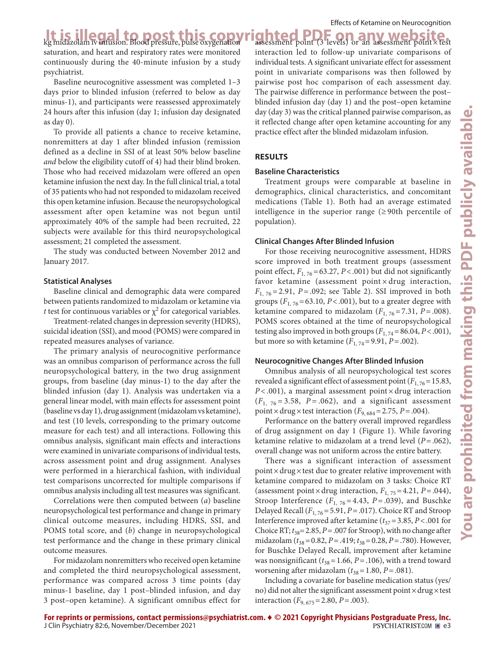It is illegal to post this copyrighted PDF on any website.<br>Regnidazolam iv infusion. Blood pressure, pulse oxygenation assessment point (3 levels) or an assessment point x test saturation, and heart and respiratory rates were monitored continuously during the 40-minute infusion by a study psychiatrist.

Baseline neurocognitive assessment was completed 1–3 days prior to blinded infusion (referred to below as day minus-1), and participants were reassessed approximately 24 hours after this infusion (day 1; infusion day designated as day 0).

To provide all patients a chance to receive ketamine, nonremitters at day 1 after blinded infusion (remission defined as a decline in SSI of at least 50% below baseline *and* below the eligibility cutoff of 4) had their blind broken. Those who had received midazolam were offered an open ketamine infusion the next day. In the full clinical trial, a total of 35 patients who had not responded to midazolam received this open ketamine infusion. Because the neuropsychological assessment after open ketamine was not begun until approximately 40% of the sample had been recruited, 22 subjects were available for this third neuropsychological assessment; 21 completed the assessment.

The study was conducted between November 2012 and January 2017.

### **Statistical Analyses**

Baseline clinical and demographic data were compared between patients randomized to midazolam or ketamine via *t* test for continuous variables or  $\chi^2$  for categorical variables.

Treatment-related changes in depression severity (HDRS), suicidal ideation (SSI), and mood (POMS) were compared in repeated measures analyses of variance.

The primary analysis of neurocognitive performance was an omnibus comparison of performance across the full neuropsychological battery, in the two drug assignment groups, from baseline (day minus-1) to the day after the blinded infusion (day 1). Analysis was undertaken via a general linear model, with main effects for assessment point (baseline vs day 1), drug assignment (midazolam vs ketamine), and test (10 levels, corresponding to the primary outcome measure for each test) and all interactions. Following this omnibus analysis, significant main effects and interactions were examined in univariate comparisons of individual tests, across assessment point and drug assignment. Analyses were performed in a hierarchical fashion, with individual test comparisons uncorrected for multiple comparisons if omnibus analysis including all test measures was significant.

Correlations were then computed between (*a*) baseline neuropsychological test performance and change in primary clinical outcome measures, including HDRS, SSI, and POMS total score, and (*b*) change in neuropsychological test performance and the change in these primary clinical outcome measures.

For midazolam nonremitters who received open ketamine and completed the third neuropsychological assessment, performance was compared across 3 time points (day minus-1 baseline, day 1 post–blinded infusion, and day 3 post–open ketamine). A significant omnibus effect for

assessment point (3 levels) or an assessment point × test interaction led to follow-up univariate comparisons of individual tests. A significant univariate effect for assessment point in univariate comparisons was then followed by pairwise post hoc comparison of each assessment day. The pairwise difference in performance between the post– blinded infusion day (day 1) and the post–open ketamine day (day 3) was the critical planned pairwise comparison, as it reflected change after open ketamine accounting for any practice effect after the blinded midazolam infusion.

# **RESULTS**

# **Baseline Characteristics**

Treatment groups were comparable at baseline in demographics, clinical characteristics, and concomitant medications (Table 1). Both had an average estimated intelligence in the superior range  $(≥ 90th$  percentile of population).

# **Clinical Changes After Blinded Infusion**

For those receiving neurocognitive assessment, HDRS score improved in both treatment groups (assessment point effect,  $F_{1,76}$ =63.27, *P*<.001) but did not significantly favor ketamine (assessment point  $\times$  drug interaction, *F*<sub>1, 76</sub> = 2.91, *P* = .092; see Table 2). SSI improved in both groups  $(F_{1, 76} = 63.10, P < .001)$ , but to a greater degree with ketamine compared to midazolam  $(F<sub>1, 76</sub>=7.31, P=.008)$ . POMS scores obtained at the time of neuropsychological testing also improved in both groups  $(F_{1,74} = 86.04, P < .001)$ , but more so with ketamine  $(F_{1, 74} = 9.91, P = .002)$ .

# **Neurocognitive Changes After Blinded Infusion**

Omnibus analysis of all neuropsychological test scores revealed a significant effect of assessment point  $(F_{1, 76} = 15.83,$ *P* < .001), a marginal assessment point × drug interaction  $(F<sub>1</sub>, 76 = 3.58, P = .062)$ , and a significant assessment point × drug × test interaction ( $F_{9,684}$  = 2.75, *P* = .004).

Performance on the battery overall improved regardless of drug assignment on day 1 (Figure 1). While favoring ketamine relative to midazolam at a trend level (*P*=.062), overall change was not uniform across the entire battery.

There was a significant interaction of assessment point×drug×test due to greater relative improvement with ketamine compared to midazolam on 3 tasks: Choice RT (assessment point  $\times$  drug interaction,  $F_{1, 75}$  = 4.21,  $P = .044$ ), Stroop Interference  $(F_{1, 76} = 4.43, P = .039)$ , and Buschke Delayed Recall (*F*1, 76=5.91, *P*=.017). Choice RT and Stroop Interference improved after ketamine ( $t_{37}$  = 3.85, *P* < .001 for Choice RT;  $t_{38}$ = 2.85,  $P = .007$  for Stroop), with no change after midazolam (*t*38=0.82, *P*=.419; *t*38=0.28, *P*=.780). However, for Buschke Delayed Recall, improvement after ketamine was nonsignificant  $(t_{38}=1.66, P=.106)$ , with a trend toward worsening after midazolam ( $t_{38}$ =1.80, *P* = .081).

Including a covariate for baseline medication status (yes/ no) did not alter the significant assessment point  $\times$  drug $\times$ test interaction  $(F_{9, 675} = 2.80, P = .003)$ .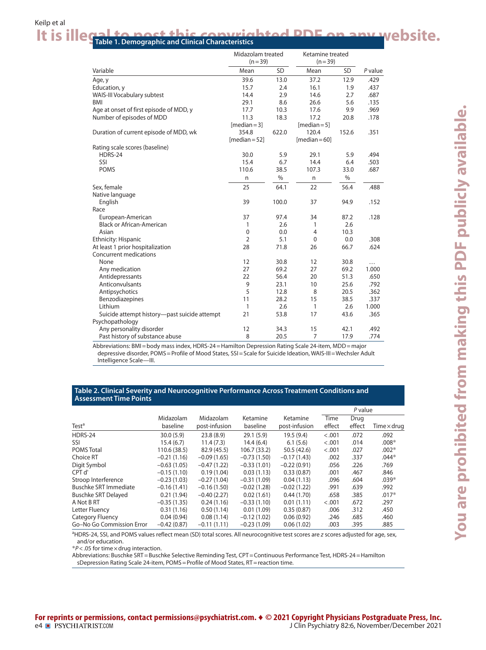# It is illegal to post this copyrighted PDF on any website.

|                                              | Midazolam treated<br>$(n=39)$ |           | Ketamine treated<br>$(n=39)$ |       |         |
|----------------------------------------------|-------------------------------|-----------|------------------------------|-------|---------|
| Variable                                     | Mean                          | <b>SD</b> | Mean                         | SD    | P value |
| Age, y                                       | 39.6                          | 13.0      | 37.2                         | 12.9  | .429    |
| Education, y                                 | 15.7                          | 2.4       | 16.1                         | 1.9   | .437    |
| WAIS-III Vocabulary subtest                  | 14.4                          | 2.9       | 14.6                         | 2.7   | .687    |
| <b>BMI</b>                                   | 29.1                          | 8.6       | 26.6                         | 5.6   | .135    |
| Age at onset of first episode of MDD, y      | 17.7                          | 10.3      | 17.6                         | 9.9   | .969    |
| Number of episodes of MDD                    | 11.3                          | 18.3      | 17.2                         | 20.8  | .178    |
|                                              | $[median=3]$                  |           | $[median=5]$                 |       |         |
| Duration of current episode of MDD, wk       | 354.8                         | 622.0     | 120.4                        | 152.6 | .351    |
|                                              | $[median = 52]$               |           | $[median = 60]$              |       |         |
| Rating scale scores (baseline)               |                               |           |                              |       |         |
| HDRS-24                                      | 30.0                          | 5.9       | 29.1                         | 5.9   | .494    |
| SSI                                          | 15.4                          | 6.7       | 14.4                         | 6.4   | .503    |
| <b>POMS</b>                                  | 110.6                         | 38.5      | 107.3                        | 33.0  | .687    |
|                                              | n                             | $\%$      | n                            | $\%$  |         |
| Sex, female                                  | 25                            | 64.1      | 22                           | 56.4  | .488    |
| Native language                              |                               |           |                              |       |         |
| English                                      | 39                            | 100.0     | 37                           | 94.9  | .152    |
| Race                                         |                               |           |                              |       |         |
| European-American                            | 37                            | 97.4      | 34                           | 87.2  | .128    |
| <b>Black or African-American</b>             | 1                             | 2.6       | 1                            | 2.6   |         |
| Asian                                        | $\mathbf 0$                   | 0.0       | 4                            | 10.3  |         |
| Ethnicity: Hispanic                          | $\overline{2}$                | 5.1       | $\mathbf{0}$                 | 0.0   | .308    |
| At least 1 prior hospitalization             | 28                            | 71.8      | 26                           | 66.7  | .624    |
| Concurrent medications                       |                               |           |                              |       |         |
| None                                         | 12                            | 30.8      | 12                           | 30.8  | .       |
| Any medication                               | 27                            | 69.2      | 27                           | 69.2  | 1.000   |
| Antidepressants                              | 22                            | 56.4      | 20                           | 51.3  | .650    |
| Anticonvulsants                              | 9                             | 23.1      | 10                           | 25.6  | .792    |
| Antipsychotics                               | 5                             | 12.8      | 8                            | 20.5  | .362    |
| Benzodiazepines                              | 11                            | 28.2      | 15                           | 38.5  | .337    |
| Lithium                                      | 1                             | 2.6       | 1                            | 2.6   | 1.000   |
| Suicide attempt history—past suicide attempt | 21                            | 53.8      | 17                           | 43.6  | .365    |
| Psychopathology                              |                               |           |                              |       |         |
| Any personality disorder                     | 12                            | 34.3      | 15                           | 42.1  | .492    |
| Past history of substance abuse              | 8                             | 20.5      | $\overline{7}$               | 17.9  | .774    |

Abbreviations: BMI=body mass index, HDRS-24=Hamilton Depression Rating Scale 24-item, MDD=major depressive disorder, POMS = Profile of Mood States, SSI = Scale for Suicide Ideation, WAIS-III = Wechsler Adult Intelligence Scale—III.

#### **Table 2. Clinical Severity and Neurocognitive Performance Across Treatment Conditions and Assessment Time Points**

|                              |               |               |               |               | P value |        |                    |
|------------------------------|---------------|---------------|---------------|---------------|---------|--------|--------------------|
|                              | Midazolam     | Midazolam     | Ketamine      | Ketamine      | Time    | Drug   |                    |
| Test <sup>a</sup>            | baseline      | post-infusion | baseline      | post-infusion | effect  | effect | Time $\times$ drug |
| HDRS-24                      | 30.0(5.9)     | 23.8(8.9)     | 29.1(5.9)     | 19.5(9.4)     | < .001  | .072   | .092               |
| SSI                          | 15.4(6.7)     | 11.4(7.3)     | 14.4(6.4)     | 6.1(5.6)      | < .001  | .014   | $.008*$            |
| <b>POMS Total</b>            | 110.6 (38.5)  | 82.9 (45.5)   | 106.7(33.2)   | 50.5 (42.6)   | $-.001$ | .027   | $.002*$            |
| Choice RT                    | $-0.21(1.16)$ | $-0.09(1.65)$ | $-0.73(1.50)$ | $-0.17(1.43)$ | .002    | .337   | $.044*$            |
| Digit Symbol                 | $-0.63(1.05)$ | $-0.47(1.22)$ | $-0.33(1.01)$ | $-0.22(0.91)$ | .056    | .226   | .769               |
| CPT d'                       | $-0.15(1.10)$ | 0.19(1.04)    | 0.03(1.13)    | 0.33(0.87)    | .001    | .467   | .846               |
| Stroop Interference          | $-0.23(1.03)$ | $-0.27(1.04)$ | $-0.31(1.09)$ | 0.04(1.13)    | .096    | .604   | $.039*$            |
| <b>Buschke SRT Immediate</b> | $-0.16(1.41)$ | $-0.16(1.50)$ | $-0.02(1.28)$ | $-0.02(1.22)$ | .991    | .639   | .992               |
| <b>Buschke SRT Delayed</b>   | 0.21(1.94)    | $-0.40(2.27)$ | 0.02(1.61)    | 0.44(1.70)    | .658    | .385   | $.017*$            |
| A Not B RT                   | $-0.35(1.35)$ | 0.24(1.16)    | $-0.33(1.10)$ | 0.01(1.11)    | $-.001$ | .672   | .297               |
| Letter Fluency               | 0.31(1.16)    | 0.50(1.14)    | 0.01(1.09)    | 0.35(0.87)    | .006    | .312   | .450               |
| Category Fluency             | 0.04(0.94)    | 0.08(1.14)    | $-0.12(1.02)$ | 0.06(0.92)    | .246    | .685   | .460               |
| Go-No Go Commission Error    | $-0.42(0.87)$ | $-0.11(1.11)$ | $-0.23(1.09)$ | 0.06(1.02)    | .003    | .395   | .885               |

<sup>a</sup>HDRS-24, SSI, and POMS values reflect mean (SD) total scores. All neurocognitive test scores are *z* scores adjusted for age, sex, and/or education.

\**P*<.05 for time×drug interaction.

Abbreviations: Buschke SRT=Buschke Selective Reminding Test, CPT=Continuous Performance Test, HDRS-24=Hamilton sDepression Rating Scale 24-item, POMS=Profile of Mood States, RT=reaction time.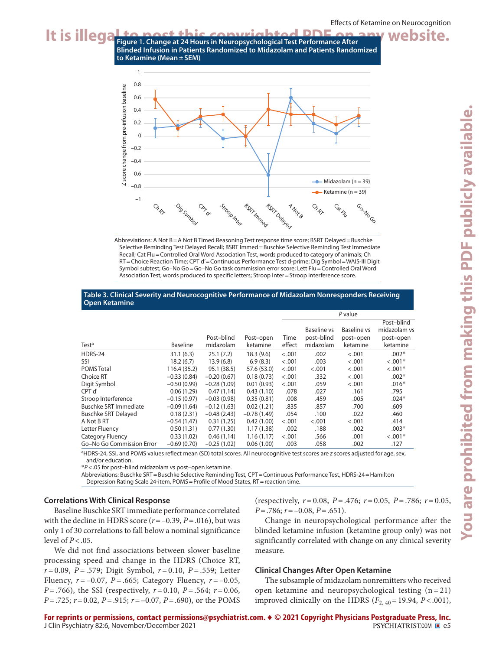





#### **Table 3. Clinical Severity and Neurocognitive Performance of Midazolam Nonresponders Receiving Open Ketamine**

|                            |                 |               |               |        | P value     |             |              |  |
|----------------------------|-----------------|---------------|---------------|--------|-------------|-------------|--------------|--|
|                            |                 |               |               |        |             |             | Post-blind   |  |
|                            |                 |               |               |        | Baseline vs | Baseline vs | midazolam vs |  |
|                            |                 | Post-blind    | Post-open     | Time   | post-blind  | post-open   | post-open    |  |
| Test <sup>a</sup>          | <b>Baseline</b> | midazolam     | ketamine      | effect | midazolam   | ketamine    | ketamine     |  |
| HDRS-24                    | 31.1(6.3)       | 25.1(7.2)     | 18.3(9.6)     | < .001 | .002        | < .001      | $.002*$      |  |
| SSI                        | 18.2(6.7)       | 13.9(6.8)     | 6.9(8.3)      | < .001 | .003        | < .001      | $< .001*$    |  |
| <b>POMS Total</b>          | 116.4 (35.2)    | 95.1 (38.5)   | 57.6 (53.0)   | < .001 | < .001      | < .001      | $< .001*$    |  |
| Choice RT                  | $-0.33(0.84)$   | $-0.20(0.67)$ | 0.18(0.73)    | < .001 | .332        | < .001      | $.002*$      |  |
| Digit Symbol               | $-0.50(0.99)$   | $-0.28(1.09)$ | 0.01(0.93)    | < .001 | .059        | < .001      | $.016*$      |  |
| CPT d'                     | 0.06(1.29)      | 0.47(1.14)    | 0.43(1.10)    | .078   | .027        | .161        | .795         |  |
| Stroop Interference        | $-0.15(0.97)$   | $-0.03(0.98)$ | 0.35(0.81)    | .008   | .459        | .005        | $.024*$      |  |
| Buschke SRT Immediate      | $-0.09(1.64)$   | $-0.12(1.63)$ | 0.02(1.21)    | .835   | .857        | .700        | .609         |  |
| <b>Buschke SRT Delayed</b> | 0.18(2.31)      | $-0.48(2.43)$ | $-0.78(1.49)$ | .054   | .100        | .022        | .460         |  |
| A Not B RT                 | $-0.54(1.47)$   | 0.31(1.25)    | 0.42(1.00)    | < .001 | < .001      | < .001      | .414         |  |
| Letter Fluency             | 0.50(1.31)      | 0.77(1.30)    | 1.17(1.38)    | .002   | .188        | .002        | $.003*$      |  |
| Category Fluency           | 0.33(1.02)      | 0.46(1.14)    | 1.16(1.17)    | < .001 | .566        | .001        | $< .001*$    |  |
| Go-No Go Commission Error  | $-0.69(0.70)$   | $-0.25(1.02)$ | 0.06(1.00)    | .003   | .058        | .002        | .127         |  |
|                            |                 |               |               |        |             |             |              |  |

<sup>a</sup>HDRS-24, SSI, and POMS values reflect mean (SD) total scores. All neurocognitive test scores are *z* scores adjusted for age, sex, and/or education.

\**P*<.05 for post–blind midazolam vs post–open ketamine.

Abbreviations: Buschke SRT=Buschke Selective Reminding Test, CPT=Continuous Performance Test, HDRS-24=Hamilton Depression Rating Scale 24-item, POMS=Profile of Mood States, RT=reaction time.

#### **Correlations With Clinical Response**

Baseline Buschke SRT immediate performance correlated with the decline in HDRS score  $(r = -0.39, P = .016)$ , but was only 1 of 30 correlations to fall below a nominal significance level of *P*<.05.

We did not find associations between slower baseline processing speed and change in the HDRS (Choice RT, *r* = 0.09, *P* = .579; Digit Symbol, *r* = 0.10, *P* = .559; Letter Fluency,  $r = -0.07$ ,  $P = .665$ ; Category Fluency,  $r = -0.05$ , *P* = .766), the SSI (respectively, *r* = 0.10, *P* = .564; *r* = 0.06, *P*=.725; *r*=0.02, *P*=.915; *r*=–0.07, *P*=.690), or the POMS

(respectively,  $r = 0.08$ ,  $P = .476$ ;  $r = 0.05$ ,  $P = .786$ ;  $r = 0.05$ , *P*=.786; *r*=–0.08, *P*=.651).

Change in neuropsychological performance after the blinded ketamine infusion (ketamine group only) was not significantly correlated with change on any clinical severity measure.

### **Clinical Changes After Open Ketamine**

The subsample of midazolam nonremitters who received open ketamine and neuropsychological testing  $(n = 21)$ improved clinically on the HDRS  $(F_{2, 40} = 19.94, P < .001)$ ,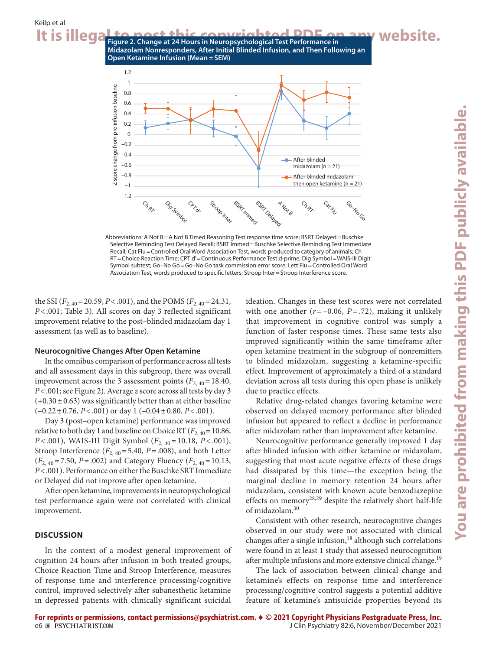

CPT CPT

Abbreviations: A Not B=A Not B Timed Reasoning Test response time score; BSRT Delayed=Buschke Selective Reminding Test Delayed Recall; BSRT Immed=Buschke Selective Reminding Test Immediate Recall; Cat Flu=Controlled Oral Word Association Test, words produced to category of animals; Ch RT=Choice Reaction Time; CPT d'=Continuous Performance Test d-prime; Dig Symbol=WAIS-III Digit Symbol subtest; Go–No Go=Go–No Go task commission error score; Lett Flu=Controlled Oral Word Association Test, words produced to specific letters; Stroop Inter=Stroop Interference score.

**ANDIB** 

**Ch RIN** 

Cat. FIL

the SSI ( $F_{2,40}$  = 20.59, *P* < .001), and the POMS ( $F_{2,40}$  = 24.31, *P*<.001; Table 3). All scores on day 3 reflected significant improvement relative to the post–blinded midazolam day 1 assessment (as well as to baseline).

#### **Neurocognitive Changes After Open Ketamine**

In the omnibus comparison of performance across all tests and all assessment days in this subgroup, there was overall improvement across the 3 assessment points  $(F_{2,40}=18.40,$ *P*<.001; see Figure 2). Average *z* score across all tests by day 3  $(+0.30\pm0.63)$  was significantly better than at either baseline (–0.22±0.76, *P*<.001) or day 1 (–0.04±0.80, *P*<.001).

Day 3 (post–open ketamine) performance was improved relative to both day 1 and baseline on Choice RT  $(F_{2,40}=10.86,$ *P* < .001), WAIS-III Digit Symbol ( $F_{2,40}$  = 10.18, *P* < .001), Stroop Interference  $(F_{2, 40} = 5.40, P = .008)$ , and both Letter  $(F_{2,40} = 7.50, P = .002)$  and Category Fluency  $(F_{2,40} = 10.13,$ *P*<.001). Performance on either the Buschke SRT Immediate or Delayed did not improve after open ketamine.

After open ketamine, improvements in neuropsychological test performance again were not correlated with clinical improvement.

#### **DISCUSSION**

In the context of a modest general improvement of cognition 24 hours after infusion in both treated groups, Choice Reaction Time and Stroop Interference, measures of response time and interference processing/cognitive control, improved selectively after subanesthetic ketamine in depressed patients with clinically significant suicidal

ideation. Changes in these test scores were not correlated with one another  $(r = -0.06, P = .72)$ , making it unlikely that improvement in cognitive control was simply a function of faster response times. These same tests also improved significantly within the same timeframe after open ketamine treatment in the subgroup of nonremitters to blinded midazolam, suggesting a ketamine-specific effect. Improvement of approximately a third of a standard deviation across all tests during this open phase is unlikely due to practice effects.

Relative drug-related changes favoring ketamine were observed on delayed memory performance after blinded infusion but appeared to reflect a decline in performance after midazolam rather than improvement after ketamine.

Neurocognitive performance generally improved 1 day after blinded infusion with either ketamine or midazolam, suggesting that most acute negative effects of these drugs had dissipated by this time—the exception being the marginal decline in memory retention 24 hours after midazolam, consistent with known acute benzodiazepine effects on memory<sup>28,29</sup> despite the relatively short half-life of midazolam.<sup>30</sup>

Consistent with other research, neurocognitive changes observed in our study were not associated with clinical changes after a single infusion,<sup>18</sup> although such correlations were found in at least 1 study that assessed neurocognition after multiple infusions and more extensive clinical change.<sup>19</sup>

The lack of association between clinical change and ketamine's effects on response time and interference processing/cognitive control suggests a potential additive feature of ketamine's antisuicide properties beyond its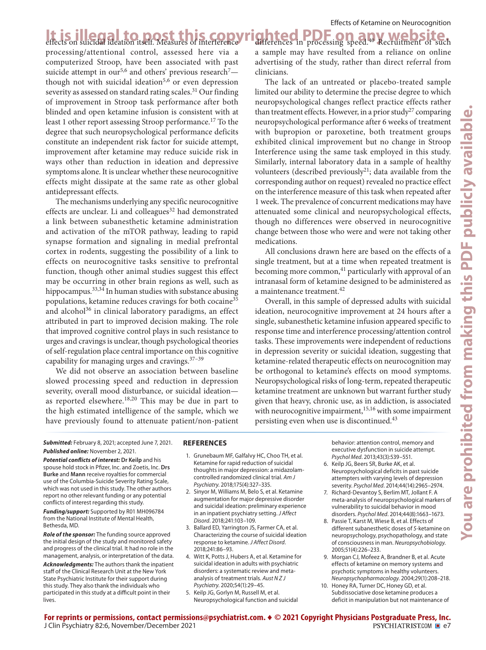**It is illegal to post this cop** processing/attentional control, assessed here via a computerized Stroop, have been associated with past suicide attempt in our<sup>5,6</sup> and others' previous research<sup>7</sup> $$ though not with suicidal ideation<sup>5,6</sup> or even depression severity as assessed on standard rating scales.<sup>31</sup> Our finding of improvement in Stroop task performance after both blinded and open ketamine infusion is consistent with at least 1 other report assessing Stroop performance.<sup>17</sup> To the degree that such neuropsychological performance deficits constitute an independent risk factor for suicide attempt, improvement after ketamine may reduce suicide risk in ways other than reduction in ideation and depressive symptoms alone. It is unclear whether these neurocognitive effects might dissipate at the same rate as other global antidepressant effects.

The mechanisms underlying any specific neurocognitive effects are unclear. Li and colleagues $32$  had demonstrated a link between subanesthetic ketamine administration and activation of the mTOR pathway, leading to rapid synapse formation and signaling in medial prefrontal cortex in rodents, suggesting the possibility of a link to effects on neurocognitive tasks sensitive to prefrontal function, though other animal studies suggest this effect may be occurring in other brain regions as well, such as hippocampus.<sup>33,34</sup> In human studies with substance abusing populations, ketamine reduces cravings for both cocaine<sup>35</sup> and alcohol $36$  in clinical laboratory paradigms, an effect attributed in part to improved decision making. The role that improved cognitive control plays in such resistance to urges and cravings is unclear, though psychological theories of self-regulation place central importance on this cognitive capability for managing urges and cravings.37–39

We did not observe an association between baseline slowed processing speed and reduction in depression severity, overall mood disturbance, or suicidal ideation as reported elsewhere.<sup>18,20</sup> This may be due in part to the high estimated intelligence of the sample, which we have previously found to attenuate patient/non-patient

It is illegal to post this copyrighted PDF on any website. a sample may have resulted from a reliance on online advertising of the study, rather than direct referral from clinicians.

> The lack of an untreated or placebo-treated sample limited our ability to determine the precise degree to which neuropsychological changes reflect practice effects rather than treatment effects. However, in a prior study<sup>27</sup> comparing neuropsychological performance after 6 weeks of treatment with bupropion or paroxetine, both treatment groups exhibited clinical improvement but no change in Stroop Interference using the same task employed in this study. Similarly, internal laboratory data in a sample of healthy volunteers (described previously<sup>21</sup>; data available from the corresponding author on request) revealed no practice effect on the interference measure of this task when repeated after 1 week. The prevalence of concurrent medications may have attenuated some clinical and neuropsychological effects, though no differences were observed in neurocognitive change between those who were and were not taking other medications.

> All conclusions drawn here are based on the effects of a single treatment, but at a time when repeated treatment is becoming more common, $^{41}$  particularly with approval of an intranasal form of ketamine designed to be administered as a maintenance treatment.<sup>42</sup>

> Overall, in this sample of depressed adults with suicidal ideation, neurocognitive improvement at 24 hours after a single, subanesthetic ketamine infusion appeared specific to response time and interference processing/attention control tasks. These improvements were independent of reductions in depression severity or suicidal ideation, suggesting that ketamine-related therapeutic effects on neurocognition may be orthogonal to ketamine's effects on mood symptoms. Neuropsychological risks of long-term, repeated therapeutic ketamine treatment are unknown but warrant further study given that heavy, chronic use, as in addiction, is associated with neurocognitive impairment, $15,16$  with some impairment persisting even when use is discontinued.43

*Submitted:* February 8, 2021; accepted June 7, 2021. *Published online:* November 2, 2021.

*Potential conflicts of interest:* **Dr Keilp** and his spouse hold stock in Pfizer, Inc. and Zoetis, Inc. **Drs Burke** and **Mann** receive royalties for commercial use of the Columbia-Suicide Severity Rating Scale, which was not used in this study. The other authors report no other relevant funding or any potential conflicts of interest regarding this study.

*Funding/support:* Supported by R01 MH096784 from the National Institute of Mental Health, Bethesda, MD.

*Role of the sponsor:* The funding source approved the initial design of the study and monitored safety and progress of the clinical trial. It had no role in the management, analysis, or interpretation of the data.

*Acknowledgments:* The authors thank the inpatient staff of the Clinical Research Unit at the New York State Psychiatric Institute for their support during this study. They also thank the individuals who participated in this study at a difficult point in their lives.

# **REFERENCES**

- 1. Grunebaum MF, Galfalvy HC, Choo TH, et al. Ketamine for rapid reduction of suicidal thoughts in major depression: a midazolamcontrolled randomized clinical trial. *Am J*  Psychiatry. 2018;175(4):327-335.
- 2. Sinyor M, Williams M, Belo S, et al. Ketamine augmentation for major depressive disorder and suicidal ideation: preliminary experience in an inpatient psychiatry setting. *J Affect Disord.* 2018:241:103-109.
- 3. Ballard ED, Yarrington JS, Farmer CA, et al. Characterizing the course of suicidal ideation response to ketamine. *J Affect Disord*. 2018:241:86-93.
- 4. Witt K, Potts J, Hubers A, et al. Ketamine for suicidal ideation in adults with psychiatric disorders: a systematic review and metaanalysis of treatment trials. *Aust N Z J*  Psychiatry. 2020;54(1):29-45.
- 5. Keilp JG, Gorlyn M, Russell M, et al. Neuropsychological function and suicidal

behavior: attention control, memory and executive dysfunction in suicide attempt. Psychol Med. 2013;43(3):539-551.

- 6. Keilp JG, Beers SR, Burke AK, et al. Neuropsychological deficits in past suicide attempters with varying levels of depression severity. Psychol Med. 2014;44(14):2965-2974.
- 7. Richard-Devantoy S, Berlim MT, Jollant F. A meta-analysis of neuropsychological markers of vulnerability to suicidal behavior in mood disorders. Psychol Med. 2014;44(8):1663-1673.
- 8. Passie T, Karst M, Wiese B, et al. Effects of different subanesthetic doses of *S*-ketamine on neuropsychology, psychopathology, and state of consciousness in man. *Neuropsychobiology*. 2005;51(4):226-233.
- 9. Morgan CJ, Mofeez A, Brandner B, et al. Acute effects of ketamine on memory systems and psychotic symptoms in healthy volunteers. *.*<br>Neuropsychopharmacology. 2004;29(1):208-218.
- 10. Honey RA, Turner DC, Honey GD, et al. Subdissociative dose ketamine produces a deficit in manipulation but not maintenance of